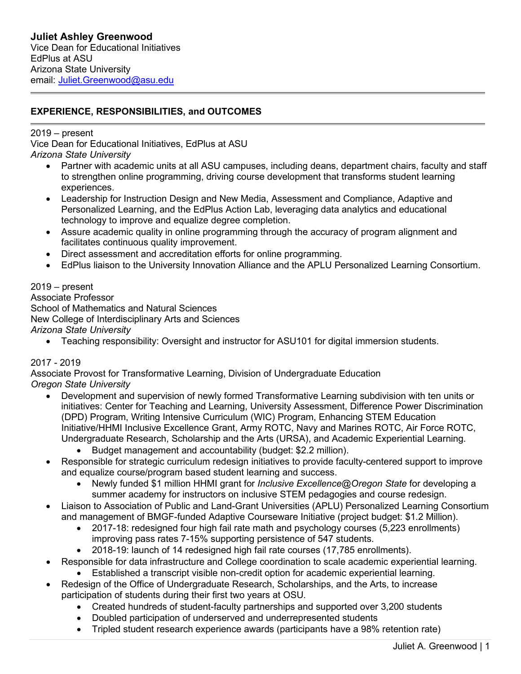## **EXPERIENCE, RESPONSIBILITIES, and OUTCOMES**

### 2019 – present

Vice Dean for Educational Initiatives, EdPlus at ASU *Arizona State University*

- Partner with academic units at all ASU campuses, including deans, department chairs, faculty and staff to strengthen online programming, driving course development that transforms student learning experiences.
- Leadership for Instruction Design and New Media, Assessment and Compliance, Adaptive and Personalized Learning, and the EdPlus Action Lab, leveraging data analytics and educational technology to improve and equalize degree completion.
- Assure academic quality in online programming through the accuracy of program alignment and facilitates continuous quality improvement.
- Direct assessment and accreditation efforts for online programming.
- EdPlus liaison to the University Innovation Alliance and the APLU Personalized Learning Consortium.

#### 2019 – present

Associate Professor School of Mathematics and Natural Sciences New College of Interdisciplinary Arts and Sciences *Arizona State University*

• Teaching responsibility: Oversight and instructor for ASU101 for digital immersion students.

#### 2017 - 2019

Associate Provost for Transformative Learning, Division of Undergraduate Education *Oregon State University*

- Development and supervision of newly formed Transformative Learning subdivision with ten units or initiatives: Center for Teaching and Learning, University Assessment, Difference Power Discrimination (DPD) Program, Writing Intensive Curriculum (WIC) Program, Enhancing STEM Education Initiative/HHMI Inclusive Excellence Grant, Army ROTC, Navy and Marines ROTC, Air Force ROTC, Undergraduate Research, Scholarship and the Arts (URSA), and Academic Experiential Learning. • Budget management and accountability (budget: \$2.2 million).
- Responsible for strategic curriculum redesign initiatives to provide faculty-centered support to improve and equalize course/program based student learning and success.
	- Newly funded \$1 million HHMI grant for *Inclusive Excellence@Oregon State* for developing a summer academy for instructors on inclusive STEM pedagogies and course redesign.
- Liaison to Association of Public and Land-Grant Universities (APLU) Personalized Learning Consortium and management of BMGF-funded Adaptive Courseware Initiative (project budget: \$1.2 Million).
	- 2017-18: redesigned four high fail rate math and psychology courses (5,223 enrollments) improving pass rates 7-15% supporting persistence of 547 students.
	- 2018-19: launch of 14 redesigned high fail rate courses (17,785 enrollments).
- Responsible for data infrastructure and College coordination to scale academic experiential learning.
	- Established a transcript visible non-credit option for academic experiential learning.
- Redesign of the Office of Undergraduate Research, Scholarships, and the Arts, to increase participation of students during their first two years at OSU.
	- Created hundreds of student-faculty partnerships and supported over 3,200 students
	- Doubled participation of underserved and underrepresented students
	- Tripled student research experience awards (participants have a 98% retention rate)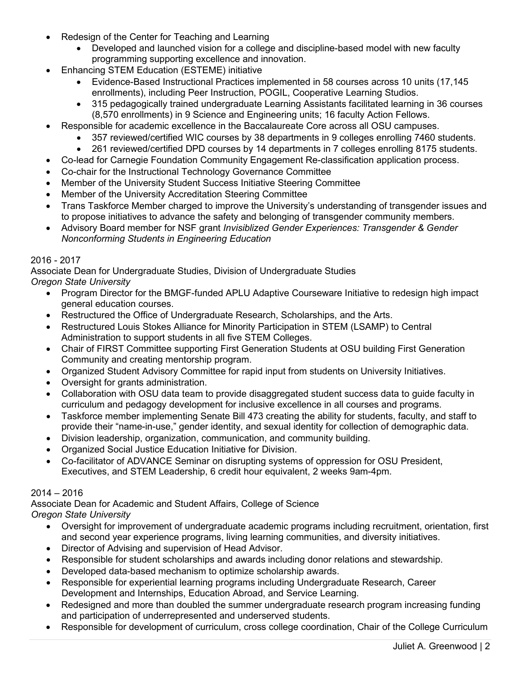- Redesign of the Center for Teaching and Learning
	- Developed and launched vision for a college and discipline-based model with new faculty programming supporting excellence and innovation.
- Enhancing STEM Education (ESTEME) initiative
	- Evidence-Based Instructional Practices implemented in 58 courses across 10 units (17,145 enrollments), including Peer Instruction, POGIL, Cooperative Learning Studios.
	- 315 pedagogically trained undergraduate Learning Assistants facilitated learning in 36 courses (8,570 enrollments) in 9 Science and Engineering units; 16 faculty Action Fellows.
- Responsible for academic excellence in the Baccalaureate Core across all OSU campuses.
	- 357 reviewed/certified WIC courses by 38 departments in 9 colleges enrolling 7460 students.
	- 261 reviewed/certified DPD courses by 14 departments in 7 colleges enrolling 8175 students.
- Co-lead for Carnegie Foundation Community Engagement Re-classification application process.
- Co-chair for the Instructional Technology Governance Committee
- Member of the University Student Success Initiative Steering Committee
- Member of the University Accreditation Steering Committee
- Trans Taskforce Member charged to improve the University's understanding of transgender issues and to propose initiatives to advance the safety and belonging of transgender community members.
- Advisory Board member for NSF grant *Invisiblized Gender Experiences: Transgender & Gender Nonconforming Students in Engineering Education*

#### 2016 - 2017

Associate Dean for Undergraduate Studies, Division of Undergraduate Studies *Oregon State University*

- Program Director for the BMGF-funded APLU Adaptive Courseware Initiative to redesign high impact general education courses.
- Restructured the Office of Undergraduate Research, Scholarships, and the Arts.
- Restructured Louis Stokes Alliance for Minority Participation in STEM (LSAMP) to Central Administration to support students in all five STEM Colleges.
- Chair of FIRST Committee supporting First Generation Students at OSU building First Generation Community and creating mentorship program.
- Organized Student Advisory Committee for rapid input from students on University Initiatives.
- Oversight for grants administration.
- Collaboration with OSU data team to provide disaggregated student success data to guide faculty in curriculum and pedagogy development for inclusive excellence in all courses and programs.
- Taskforce member implementing Senate Bill 473 creating the ability for students, faculty, and staff to provide their "name-in-use," gender identity, and sexual identity for collection of demographic data.
- Division leadership, organization, communication, and community building.
- Organized Social Justice Education Initiative for Division.
- Co-facilitator of ADVANCE Seminar on disrupting systems of oppression for OSU President, Executives, and STEM Leadership, 6 credit hour equivalent, 2 weeks 9am-4pm.

#### 2014 – 2016

Associate Dean for Academic and Student Affairs, College of Science

*Oregon State University*

- Oversight for improvement of undergraduate academic programs including recruitment, orientation, first and second year experience programs, living learning communities, and diversity initiatives.
- Director of Advising and supervision of Head Advisor.
- Responsible for student scholarships and awards including donor relations and stewardship.
- Developed data-based mechanism to optimize scholarship awards.
- Responsible for experiential learning programs including Undergraduate Research, Career Development and Internships, Education Abroad, and Service Learning.
- Redesigned and more than doubled the summer undergraduate research program increasing funding and participation of underrepresented and underserved students.
- Responsible for development of curriculum, cross college coordination, Chair of the College Curriculum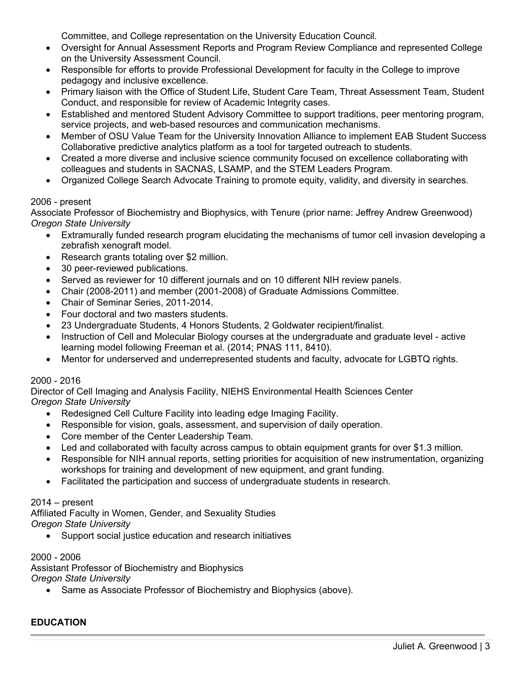Committee, and College representation on the University Education Council.

- Oversight for Annual Assessment Reports and Program Review Compliance and represented College on the University Assessment Council.
- Responsible for efforts to provide Professional Development for faculty in the College to improve pedagogy and inclusive excellence.
- Primary liaison with the Office of Student Life, Student Care Team, Threat Assessment Team, Student Conduct, and responsible for review of Academic Integrity cases.
- Established and mentored Student Advisory Committee to support traditions, peer mentoring program, service projects, and web-based resources and communication mechanisms.
- Member of OSU Value Team for the University Innovation Alliance to implement EAB Student Success Collaborative predictive analytics platform as a tool for targeted outreach to students.
- Created a more diverse and inclusive science community focused on excellence collaborating with colleagues and students in SACNAS, LSAMP, and the STEM Leaders Program.
- Organized College Search Advocate Training to promote equity, validity, and diversity in searches.

### 2006 - present

Associate Professor of Biochemistry and Biophysics, with Tenure (prior name: Jeffrey Andrew Greenwood) *Oregon State University*

- Extramurally funded research program elucidating the mechanisms of tumor cell invasion developing a zebrafish xenograft model.
- Research grants totaling over \$2 million.
- 30 peer-reviewed publications.
- Served as reviewer for 10 different journals and on 10 different NIH review panels.
- Chair (2008-2011) and member (2001-2008) of Graduate Admissions Committee.
- Chair of Seminar Series, 2011-2014.
- Four doctoral and two masters students.
- 23 Undergraduate Students, 4 Honors Students, 2 Goldwater recipient/finalist.
- Instruction of Cell and Molecular Biology courses at the undergraduate and graduate level active learning model following Freeman et al. (2014; PNAS 111, 8410).
- Mentor for underserved and underrepresented students and faculty, advocate for LGBTQ rights.

### 2000 - 2016

Director of Cell Imaging and Analysis Facility, NIEHS Environmental Health Sciences Center *Oregon State University*

- Redesigned Cell Culture Facility into leading edge Imaging Facility.
- Responsible for vision, goals, assessment, and supervision of daily operation.
- Core member of the Center Leadership Team.
- Led and collaborated with faculty across campus to obtain equipment grants for over \$1.3 million.
- Responsible for NIH annual reports, setting priorities for acquisition of new instrumentation, organizing workshops for training and development of new equipment, and grant funding.
- Facilitated the participation and success of undergraduate students in research.

### 2014 – present

Affiliated Faculty in Women, Gender, and Sexuality Studies *Oregon State University*

• Support social justice education and research initiatives

#### 2000 - 2006

Assistant Professor of Biochemistry and Biophysics *Oregon State University*

• Same as Associate Professor of Biochemistry and Biophysics (above).

### **EDUCATION**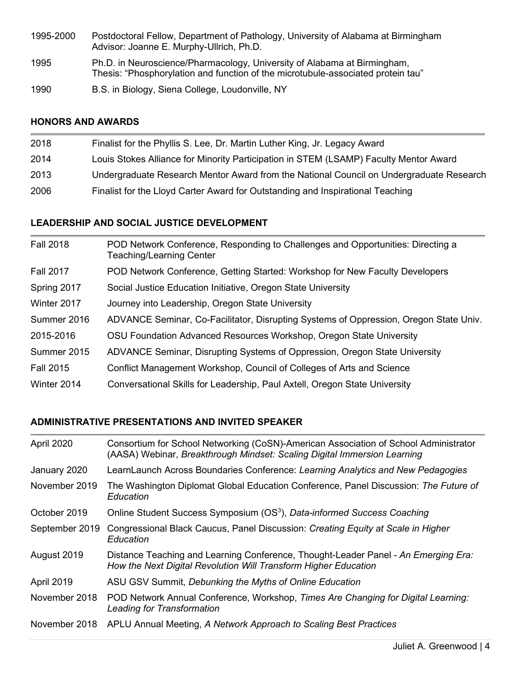- 1995-2000 Postdoctoral Fellow, Department of Pathology, University of Alabama at Birmingham Advisor: Joanne E. Murphy-Ullrich, Ph.D.
- 1995 Ph.D. in Neuroscience/Pharmacology, University of Alabama at Birmingham, Thesis: "Phosphorylation and function of the microtubule-associated protein tau"
- 1990 B.S. in Biology, Siena College, Loudonville, NY

### **HONORS AND AWARDS**

| 2018 | Finalist for the Phyllis S. Lee, Dr. Martin Luther King, Jr. Legacy Award               |
|------|-----------------------------------------------------------------------------------------|
| 2014 | Louis Stokes Alliance for Minority Participation in STEM (LSAMP) Faculty Mentor Award   |
| 2013 | Undergraduate Research Mentor Award from the National Council on Undergraduate Research |
| 2006 | Finalist for the Lloyd Carter Award for Outstanding and Inspirational Teaching          |

### **LEADERSHIP AND SOCIAL JUSTICE DEVELOPMENT**

| <b>Fall 2018</b> | POD Network Conference, Responding to Challenges and Opportunities: Directing a<br>Teaching/Learning Center |
|------------------|-------------------------------------------------------------------------------------------------------------|
| <b>Fall 2017</b> | POD Network Conference, Getting Started: Workshop for New Faculty Developers                                |
| Spring 2017      | Social Justice Education Initiative, Oregon State University                                                |
| Winter 2017      | Journey into Leadership, Oregon State University                                                            |
| Summer 2016      | ADVANCE Seminar, Co-Facilitator, Disrupting Systems of Oppression, Oregon State Univ.                       |
| 2015-2016        | OSU Foundation Advanced Resources Workshop, Oregon State University                                         |
| Summer 2015      | ADVANCE Seminar, Disrupting Systems of Oppression, Oregon State University                                  |
| <b>Fall 2015</b> | Conflict Management Workshop, Council of Colleges of Arts and Science                                       |
| Winter 2014      | Conversational Skills for Leadership, Paul Axtell, Oregon State University                                  |

# **ADMINISTRATIVE PRESENTATIONS AND INVITED SPEAKER**

| April 2020     | Consortium for School Networking (CoSN)-American Association of School Administrator<br>(AASA) Webinar, Breakthrough Mindset: Scaling Digital Immersion Learning |
|----------------|------------------------------------------------------------------------------------------------------------------------------------------------------------------|
| January 2020   | LearnLaunch Across Boundaries Conference: Learning Analytics and New Pedagogies                                                                                  |
| November 2019  | The Washington Diplomat Global Education Conference, Panel Discussion: The Future of<br>Education                                                                |
| October 2019   | Online Student Success Symposium (OS <sup>3</sup> ), Data-informed Success Coaching                                                                              |
| September 2019 | Congressional Black Caucus, Panel Discussion: Creating Equity at Scale in Higher<br>Education                                                                    |
| August 2019    | Distance Teaching and Learning Conference, Thought-Leader Panel - An Emerging Era:<br>How the Next Digital Revolution Will Transform Higher Education            |
| April 2019     | ASU GSV Summit, Debunking the Myths of Online Education                                                                                                          |
| November 2018  | POD Network Annual Conference, Workshop, Times Are Changing for Digital Learning:<br><b>Leading for Transformation</b>                                           |
| November 2018  | APLU Annual Meeting, A Network Approach to Scaling Best Practices                                                                                                |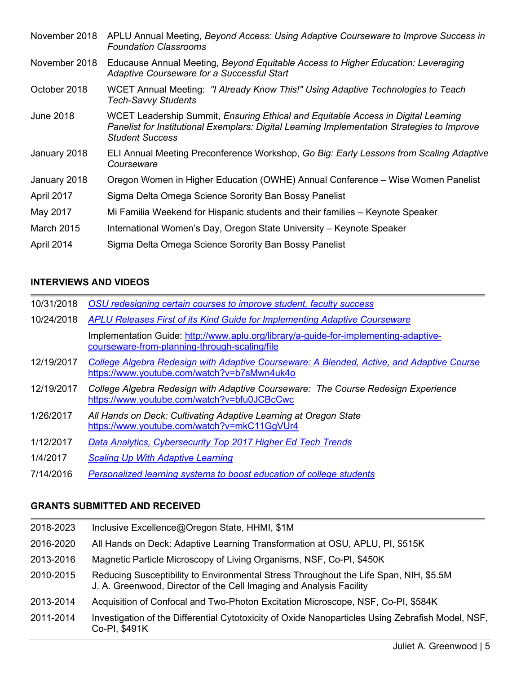| November 2018     | APLU Annual Meeting, Beyond Access: Using Adaptive Courseware to Improve Success in<br><b>Foundation Classrooms</b>                                                                                        |
|-------------------|------------------------------------------------------------------------------------------------------------------------------------------------------------------------------------------------------------|
| November 2018     | Educause Annual Meeting, Beyond Equitable Access to Higher Education: Leveraging<br>Adaptive Courseware for a Successful Start                                                                             |
| October 2018      | WCET Annual Meeting: "I Already Know This!" Using Adaptive Technologies to Teach<br>Tech-Savvy Students                                                                                                    |
| June 2018         | WCET Leadership Summit, Ensuring Ethical and Equitable Access in Digital Learning<br>Panelist for Institutional Exemplars: Digital Learning Implementation Strategies to Improve<br><b>Student Success</b> |
| January 2018      | ELI Annual Meeting Preconference Workshop, Go Big: Early Lessons from Scaling Adaptive<br>Courseware                                                                                                       |
| January 2018      | Oregon Women in Higher Education (OWHE) Annual Conference – Wise Women Panelist                                                                                                                            |
| April 2017        | Sigma Delta Omega Science Sorority Ban Bossy Panelist                                                                                                                                                      |
| May 2017          | Mi Familia Weekend for Hispanic students and their families – Keynote Speaker                                                                                                                              |
| <b>March 2015</b> | International Women's Day, Oregon State University – Keynote Speaker                                                                                                                                       |
| April 2014        | Sigma Delta Omega Science Sorority Ban Bossy Panelist                                                                                                                                                      |

### **INTERVIEWS AND VIDEOS**

| 10/31/2018 | OSU redesigning certain courses to improve student, faculty success                                                                      |
|------------|------------------------------------------------------------------------------------------------------------------------------------------|
| 10/24/2018 | APLU Releases First of its Kind Guide for Implementing Adaptive Courseware                                                               |
|            | Implementation Guide: http://www.aplu.org/library/a-guide-for-implementing-adaptive-<br>courseware-from-planning-through-scaling/file    |
| 12/19/2017 | College Algebra Redesign with Adaptive Courseware: A Blended, Active, and Adaptive Course<br>https://www.youtube.com/watch?v=b7sMwn4uk4o |
| 12/19/2017 | College Algebra Redesign with Adaptive Courseware: The Course Redesign Experience<br>https://www.youtube.com/watch?v=bfu0JCBcCwc         |
| 1/26/2017  | All Hands on Deck: Cultivating Adaptive Learning at Oregon State<br>https://www.youtube.com/watch?v=mkC11GgVUr4                          |
| 1/12/2017  | Data Analytics, Cybersecurity Top 2017 Higher Ed Tech Trends                                                                             |
| 1/4/2017   | <b>Scaling Up With Adaptive Learning</b>                                                                                                 |

7/14/2016 *[Personalized learning systems to boost education of college students](http://oregonstate.edu/ua/ncs/archives/2016/jul/personalized-learning-systems-boost-education-college-students)*

### **GRANTS SUBMITTED AND RECEIVED**

| 2018-2023 | Inclusive Excellence@Oregon State, HHMI, \$1M                                                                                                                |
|-----------|--------------------------------------------------------------------------------------------------------------------------------------------------------------|
| 2016-2020 | All Hands on Deck: Adaptive Learning Transformation at OSU, APLU, PI, \$515K                                                                                 |
| 2013-2016 | Magnetic Particle Microscopy of Living Organisms, NSF, Co-PI, \$450K                                                                                         |
| 2010-2015 | Reducing Susceptibility to Environmental Stress Throughout the Life Span, NIH, \$5.5M<br>J. A. Greenwood, Director of the Cell Imaging and Analysis Facility |
| 2013-2014 | Acquisition of Confocal and Two-Photon Excitation Microscope, NSF, Co-PI, \$584K                                                                             |
| 2011-2014 | Investigation of the Differential Cytotoxicity of Oxide Nanoparticles Using Zebrafish Model, NSF,<br>Co-PI, \$491K                                           |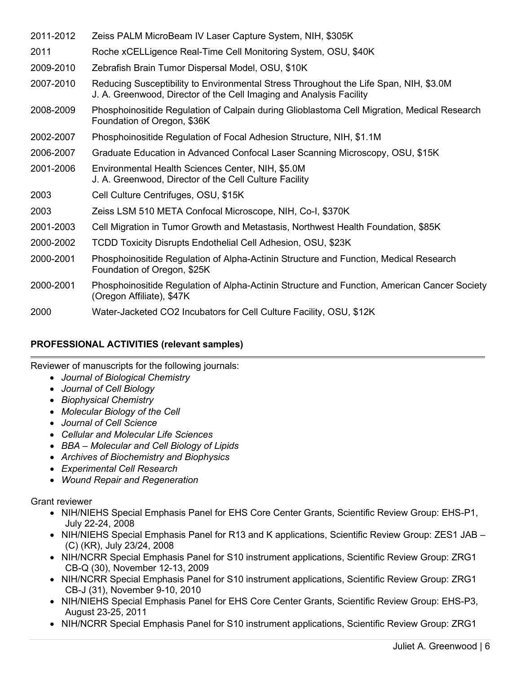| 2011-2012 | Zeiss PALM MicroBeam IV Laser Capture System, NIH, \$305K                                                                                                    |
|-----------|--------------------------------------------------------------------------------------------------------------------------------------------------------------|
| 2011      | Roche xCELLigence Real-Time Cell Monitoring System, OSU, \$40K                                                                                               |
| 2009-2010 | Zebrafish Brain Tumor Dispersal Model, OSU, \$10K                                                                                                            |
| 2007-2010 | Reducing Susceptibility to Environmental Stress Throughout the Life Span, NIH, \$3.0M<br>J. A. Greenwood, Director of the Cell Imaging and Analysis Facility |
| 2008-2009 | Phosphoinositide Regulation of Calpain during Glioblastoma Cell Migration, Medical Research<br>Foundation of Oregon, \$36K                                   |
| 2002-2007 | Phosphoinositide Regulation of Focal Adhesion Structure, NIH, \$1.1M                                                                                         |
| 2006-2007 | Graduate Education in Advanced Confocal Laser Scanning Microscopy, OSU, \$15K                                                                                |
| 2001-2006 | Environmental Health Sciences Center, NIH, \$5.0M<br>J. A. Greenwood, Director of the Cell Culture Facility                                                  |
| 2003      | Cell Culture Centrifuges, OSU, \$15K                                                                                                                         |
| 2003      | Zeiss LSM 510 META Confocal Microscope, NIH, Co-I, \$370K                                                                                                    |
| 2001-2003 | Cell Migration in Tumor Growth and Metastasis, Northwest Health Foundation, \$85K                                                                            |
| 2000-2002 | TCDD Toxicity Disrupts Endothelial Cell Adhesion, OSU, \$23K                                                                                                 |
| 2000-2001 | Phosphoinositide Regulation of Alpha-Actinin Structure and Function, Medical Research<br>Foundation of Oregon, \$25K                                         |
| 2000-2001 | Phosphoinositide Regulation of Alpha-Actinin Structure and Function, American Cancer Society<br>(Oregon Affiliate), \$47K                                    |
| 2000      | Water-Jacketed CO2 Incubators for Cell Culture Facility, OSU, \$12K                                                                                          |

### **PROFESSIONAL ACTIVITIES (relevant samples)**

Reviewer of manuscripts for the following journals:

- *Journal of Biological Chemistry*
- *Journal of Cell Biology*
- *Biophysical Chemistry*
- *Molecular Biology of the Cell*
- *Journal of Cell Science*
- *Cellular and Molecular Life Sciences*
- *BBA – Molecular and Cell Biology of Lipids*
- *Archives of Biochemistry and Biophysics*
- *Experimental Cell Research*
- *Wound Repair and Regeneration*

Grant reviewer

- NIH/NIEHS Special Emphasis Panel for EHS Core Center Grants, Scientific Review Group: EHS-P1, July 22-24, 2008
- NIH/NIEHS Special Emphasis Panel for R13 and K applications, Scientific Review Group: ZES1 JAB (C) (KR), July 23/24, 2008
- NIH/NCRR Special Emphasis Panel for S10 instrument applications, Scientific Review Group: ZRG1 CB-Q (30), November 12-13, 2009
- NIH/NCRR Special Emphasis Panel for S10 instrument applications, Scientific Review Group: ZRG1 CB-J (31), November 9-10, 2010
- NIH/NIEHS Special Emphasis Panel for EHS Core Center Grants, Scientific Review Group: EHS-P3, August 23-25, 2011
- NIH/NCRR Special Emphasis Panel for S10 instrument applications, Scientific Review Group: ZRG1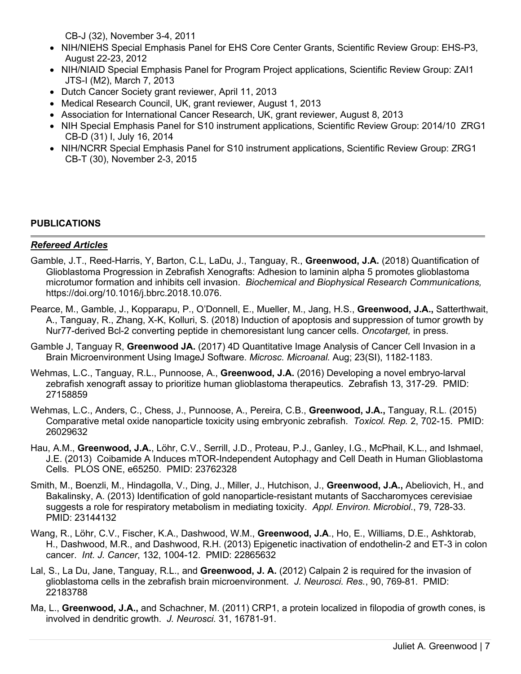CB-J (32), November 3-4, 2011

- NIH/NIEHS Special Emphasis Panel for EHS Core Center Grants, Scientific Review Group: EHS-P3, August 22-23, 2012
- NIH/NIAID Special Emphasis Panel for Program Project applications, Scientific Review Group: ZAI1 JTS-I (M2), March 7, 2013
- Dutch Cancer Society grant reviewer, April 11, 2013
- Medical Research Council, UK, grant reviewer, August 1, 2013
- Association for International Cancer Research, UK, grant reviewer, August 8, 2013
- NIH Special Emphasis Panel for S10 instrument applications, Scientific Review Group: 2014/10 ZRG1 CB-D (31) I, July 16, 2014
- NIH/NCRR Special Emphasis Panel for S10 instrument applications, Scientific Review Group: ZRG1 CB-T (30), November 2-3, 2015

#### **PUBLICATIONS**

#### *Refereed Articles*

- Gamble, J.T., Reed-Harris, Y, Barton, C.L, LaDu, J., Tanguay, R., **Greenwood, J.A.** (2018) Quantification of Glioblastoma Progression in Zebrafish Xenografts: Adhesion to laminin alpha 5 promotes glioblastoma microtumor formation and inhibits cell invasion. *Biochemical and Biophysical Research Communications,*  https://doi.org/10.1016/j.bbrc.2018.10.076.
- Pearce, M., Gamble, J., Kopparapu, P., O'Donnell, E., Mueller, M., Jang, H.S., **Greenwood, J.A.,** Satterthwait, A., Tanguay, R., Zhang, X-K, Kolluri, S. (2018) Induction of apoptosis and suppression of tumor growth by Nur77-derived Bcl-2 converting peptide in chemoresistant lung cancer cells. *Oncotarget,* in press.
- Gamble J, Tanguay R, **Greenwood JA.** (2017) 4D Quantitative Image Analysis of Cancer Cell Invasion in a Brain Microenvironment Using ImageJ Software. *Microsc. Microanal.* Aug; 23(SI), 1182-1183.
- Wehmas, L.C., Tanguay, R.L., Punnoose, A., **Greenwood, J.A.** (2016) Developing a novel embryo-larval zebrafish xenograft assay to prioritize human glioblastoma therapeutics. Zebrafish 13, 317-29. PMID: 27158859
- Wehmas, L.C., Anders, C., Chess, J., Punnoose, A., Pereira, C.B., **Greenwood, J.A.,** Tanguay, R.L. (2015) Comparative metal oxide nanoparticle toxicity using embryonic zebrafish. *Toxicol. Rep.* 2, 702-15. PMID: 26029632
- Hau, A.M., **Greenwood, J.A.**, Löhr, C.V., Serrill, J.D., Proteau, P.J., Ganley, I.G., McPhail, K.L., and Ishmael, J.E. (2013) Coibamide A Induces mTOR-Independent Autophagy and Cell Death in Human Glioblastoma Cells. PLOS ONE, e65250. PMID: 23762328
- Smith, M., Boenzli, M., Hindagolla, V., Ding, J., Miller, J., Hutchison, J., **Greenwood, J.A.,** Abeliovich, H., and Bakalinsky, A. (2013) Identification of gold nanoparticle-resistant mutants of Saccharomyces cerevisiae suggests a role for respiratory metabolism in mediating toxicity. *Appl. Environ. Microbiol*., 79, 728-33. PMID: 23144132
- Wang, R., Löhr, C.V., Fischer, K.A., Dashwood, W.M., **Greenwood, J.A**., Ho, E., Williams, D.E., Ashktorab, H., Dashwood, M.R., and Dashwood, R.H. (2013) Epigenetic inactivation of endothelin-2 and ET-3 in colon cancer. *Int. J. Cancer*, 132, 1004-12. PMID: 22865632
- Lal, S., La Du, Jane, Tanguay, R.L., and **Greenwood, J. A.** (2012) Calpain 2 is required for the invasion of glioblastoma cells in the zebrafish brain microenvironment. *J. Neurosci. Res.*, 90, 769-81. PMID: 22183788
- Ma, L., **Greenwood, J.A.,** and Schachner, M. (2011) CRP1, a protein localized in filopodia of growth cones, is involved in dendritic growth. *J. Neurosci.* 31, 16781-91.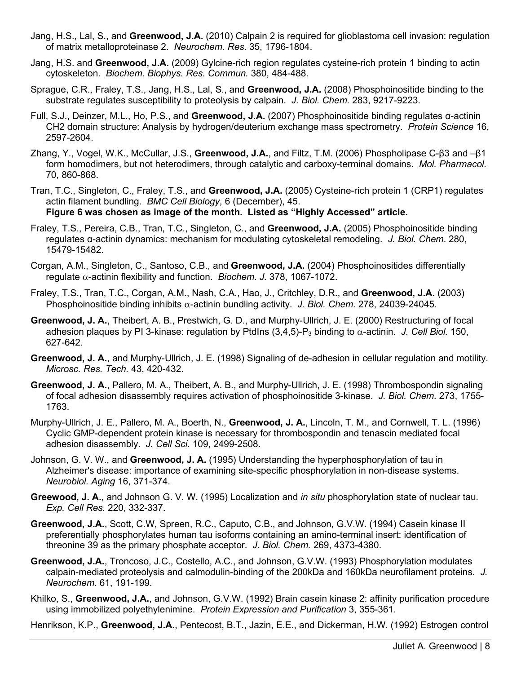- Jang, H.S., Lal, S., and **Greenwood, J.A.** (2010) Calpain 2 is required for glioblastoma cell invasion: regulation of matrix metalloproteinase 2. *Neurochem. Res.* 35, 1796-1804.
- Jang, H.S. and **Greenwood, J.A.** (2009) Gylcine-rich region regulates cysteine-rich protein 1 binding to actin cytoskeleton. *Biochem. Biophys. Res. Commun.* 380, 484-488.
- Sprague, C.R., Fraley, T.S., Jang, H.S., Lal, S., and **Greenwood, J.A.** (2008) Phosphoinositide binding to the substrate regulates susceptibility to proteolysis by calpain. *J. Biol. Chem.* 283, 9217-9223.
- Full, S.J., Deinzer, M.L., Ho, P.S., and **Greenwood, J.A.** (2007) Phosphoinositide binding regulates α-actinin CH2 domain structure: Analysis by hydrogen/deuterium exchange mass spectrometry. *Protein Science* 16, 2597-2604.
- Zhang, Y., Vogel, W.K., McCullar, J.S., **Greenwood, J.A.**, and Filtz, T.M. (2006) Phospholipase C-β3 and –β1 form homodimers, but not heterodimers, through catalytic and carboxy-terminal domains. *Mol. Pharmacol.* 70, 860-868.
- Tran, T.C., Singleton, C., Fraley, T.S., and **Greenwood, J.A.** (2005) Cysteine-rich protein 1 (CRP1) regulates actin filament bundling. *BMC Cell Biology*, 6 (December), 45. **Figure 6 was chosen as image of the month. Listed as "Highly Accessed" article.**
- Fraley, T.S., Pereira, C.B., Tran, T.C., Singleton, C., and **Greenwood, J.A.** (2005) Phosphoinositide binding regulates α-actinin dynamics: mechanism for modulating cytoskeletal remodeling. *J. Biol. Chem*. 280, 15479-15482.
- Corgan, A.M., Singleton, C., Santoso, C.B., and **Greenwood, J.A.** (2004) Phosphoinositides differentially regulate α-actinin flexibility and function. *Biochem. J.* 378, 1067-1072.
- Fraley, T.S., Tran, T.C., Corgan, A.M., Nash, C.A., Hao, J., Critchley, D.R., and **Greenwood, J.A.** (2003) Phosphoinositide binding inhibits α-actinin bundling activity. *J. Biol. Chem.* 278, 24039-24045.
- **Greenwood, J. A.**, Theibert, A. B., Prestwich, G. D., and Murphy-Ullrich, J. E. (2000) Restructuring of focal adhesion plaques by PI 3-kinase: regulation by PtdIns  $(3,4,5)$ -P<sub>3</sub> binding to  $\alpha$ -actinin. *J. Cell Biol.* 150, 627-642.
- **Greenwood, J. A.**, and Murphy-Ullrich, J. E. (1998) Signaling of de-adhesion in cellular regulation and motility. *Microsc. Res. Tech.* 43, 420-432.
- **Greenwood, J. A.**, Pallero, M. A., Theibert, A. B., and Murphy-Ullrich, J. E. (1998) Thrombospondin signaling of focal adhesion disassembly requires activation of phosphoinositide 3-kinase. *J. Biol. Chem.* 273, 1755- 1763.
- Murphy-Ullrich, J. E., Pallero, M. A., Boerth, N., **Greenwood, J. A.**, Lincoln, T. M., and Cornwell, T. L. (1996) Cyclic GMP-dependent protein kinase is necessary for thrombospondin and tenascin mediated focal adhesion disassembly. *J. Cell Sci.* 109, 2499-2508.
- Johnson, G. V. W., and **Greenwood, J. A.** (1995) Understanding the hyperphosphorylation of tau in Alzheimer's disease: importance of examining site-specific phosphorylation in non-disease systems. *Neurobiol. Aging* 16, 371-374.
- **Greewood, J. A.**, and Johnson G. V. W. (1995) Localization and *in situ* phosphorylation state of nuclear tau. *Exp. Cell Res.* 220, 332-337.
- **Greenwood, J.A.**, Scott, C.W, Spreen, R.C., Caputo, C.B., and Johnson, G.V.W. (1994) Casein kinase II preferentially phosphorylates human tau isoforms containing an amino-terminal insert: identification of threonine 39 as the primary phosphate acceptor*. J. Biol. Chem.* 269, 4373-4380.
- **Greenwood, J.A.**, Troncoso, J.C., Costello, A.C., and Johnson, G.V.W. (1993) Phosphorylation modulates calpain-mediated proteolysis and calmodulin-binding of the 200kDa and 160kDa neurofilament proteins. *J. Neurochem.* 61, 191-199.
- Khilko, S., **Greenwood, J.A.**, and Johnson, G.V.W. (1992) Brain casein kinase 2: affinity purification procedure using immobilized polyethylenimine. *Protein Expression and Purification* 3, 355-361.

Henrikson, K.P., **Greenwood, J.A.**, Pentecost, B.T., Jazin, E.E., and Dickerman, H.W. (1992) Estrogen control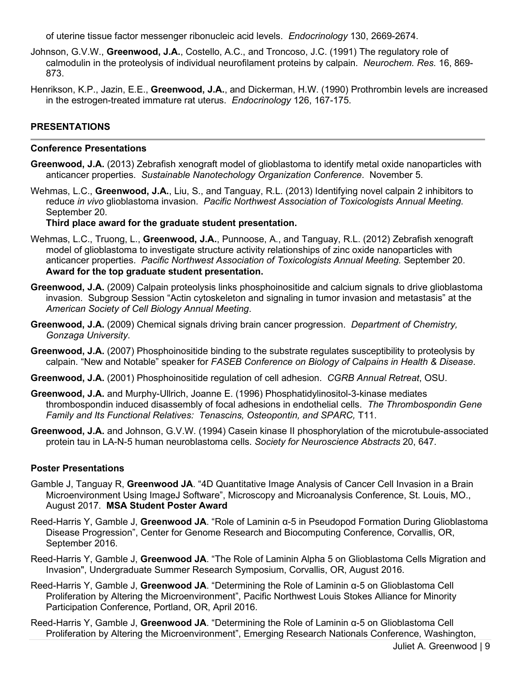of uterine tissue factor messenger ribonucleic acid levels. *Endocrinology* 130, 2669-2674.

- Johnson, G.V.W., **Greenwood, J.A.**, Costello, A.C., and Troncoso, J.C. (1991) The regulatory role of calmodulin in the proteolysis of individual neurofilament proteins by calpain. *Neurochem. Res.* 16, 869- 873.
- Henrikson, K.P., Jazin, E.E., **Greenwood, J.A.**, and Dickerman, H.W. (1990) Prothrombin levels are increased in the estrogen-treated immature rat uterus. *Endocrinology* 126, 167-175.

### **PRESENTATIONS**

#### **Conference Presentations**

- **Greenwood, J.A.** (2013) Zebrafish xenograft model of glioblastoma to identify metal oxide nanoparticles with anticancer properties. *Sustainable Nanotechology Organization Conference*. November 5.
- Wehmas, L.C., **Greenwood, J.A.**, Liu, S., and Tanguay, R.L. (2013) Identifying novel calpain 2 inhibitors to reduce *in vivo* glioblastoma invasion. *Pacific Northwest Association of Toxicologists Annual Meeting.* September 20.

**Third place award for the graduate student presentation.**

- Wehmas, L.C., Truong, L., **Greenwood, J.A.**, Punnoose, A., and Tanguay, R.L. (2012) Zebrafish xenograft model of glioblastoma to investigate structure activity relationships of zinc oxide nanoparticles with anticancer properties. *Pacific Northwest Association of Toxicologists Annual Meeting.* September 20. **Award for the top graduate student presentation.**
- **Greenwood, J.A.** (2009) Calpain proteolysis links phosphoinositide and calcium signals to drive glioblastoma invasion. Subgroup Session "Actin cytoskeleton and signaling in tumor invasion and metastasis" at the *American Society of Cell Biology Annual Meeting*.
- **Greenwood, J.A.** (2009) Chemical signals driving brain cancer progression. *Department of Chemistry, Gonzaga University*.
- **Greenwood, J.A.** (2007) Phosphoinositide binding to the substrate regulates susceptibility to proteolysis by calpain. "New and Notable" speaker for *FASEB Conference on Biology of Calpains in Health & Disease*.
- **Greenwood, J.A.** (2001) Phosphoinositide regulation of cell adhesion. *CGRB Annual Retreat*, OSU.
- **Greenwood, J.A.** and Murphy-Ullrich, Joanne E. (1996) Phosphatidylinositol-3-kinase mediates thrombospondin induced disassembly of focal adhesions in endothelial cells. *The Thrombospondin Gene Family and Its Functional Relatives: Tenascins, Osteopontin, and SPARC,* T11.
- **Greenwood, J.A.** and Johnson, G.V.W. (1994) Casein kinase II phosphorylation of the microtubule-associated protein tau in LA-N-5 human neuroblastoma cells. *Society for Neuroscience Abstracts* 20, 647.

#### **Poster Presentations**

- Gamble J, Tanguay R, **Greenwood JA**. "4D Quantitative Image Analysis of Cancer Cell Invasion in a Brain Microenvironment Using ImageJ Software", Microscopy and Microanalysis Conference, St. Louis, MO., August 2017. **MSA Student Poster Award**
- Reed-Harris Y, Gamble J, **Greenwood JA**. "Role of Laminin α-5 in Pseudopod Formation During Glioblastoma Disease Progression", Center for Genome Research and Biocomputing Conference, Corvallis, OR, September 2016.
- Reed-Harris Y, Gamble J, **Greenwood JA**. "The Role of Laminin Alpha 5 on Glioblastoma Cells Migration and Invasion", Undergraduate Summer Research Symposium, Corvallis, OR, August 2016.
- Reed-Harris Y, Gamble J, **Greenwood JA**. "Determining the Role of Laminin α-5 on Glioblastoma Cell Proliferation by Altering the Microenvironment", Pacific Northwest Louis Stokes Alliance for Minority Participation Conference, Portland, OR, April 2016.
- Reed-Harris Y, Gamble J, **Greenwood JA**. "Determining the Role of Laminin α-5 on Glioblastoma Cell Proliferation by Altering the Microenvironment", Emerging Research Nationals Conference, Washington,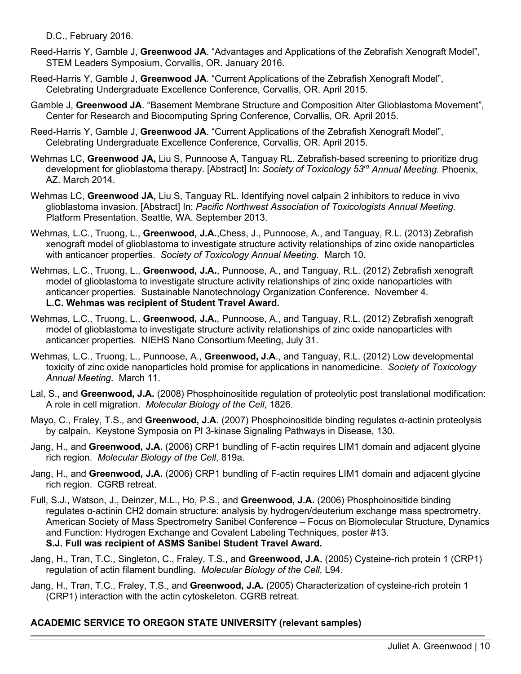D.C., February 2016.

- Reed-Harris Y, Gamble J, **Greenwood JA**. "Advantages and Applications of the Zebrafish Xenograft Model", STEM Leaders Symposium, Corvallis, OR. January 2016.
- Reed-Harris Y, Gamble J, **Greenwood JA**. "Current Applications of the Zebrafish Xenograft Model", Celebrating Undergraduate Excellence Conference, Corvallis, OR. April 2015.
- Gamble J, **Greenwood JA**. "Basement Membrane Structure and Composition Alter Glioblastoma Movement", Center for Research and Biocomputing Spring Conference, Corvallis, OR. April 2015.

Reed-Harris Y, Gamble J, **Greenwood JA**. "Current Applications of the Zebrafish Xenograft Model", Celebrating Undergraduate Excellence Conference, Corvallis, OR. April 2015.

- Wehmas LC, **Greenwood JA,** Liu S, Punnoose A, Tanguay RL. Zebrafish-based screening to prioritize drug development for glioblastoma therapy. [Abstract] In: *Society of Toxicology 53rd Annual Meeting.* Phoenix, AZ. March 2014.
- Wehmas LC, **Greenwood JA,** Liu S, Tanguay RL**.** Identifying novel calpain 2 inhibitors to reduce in vivo glioblastoma invasion. [Abstract] In: *Pacific Northwest Association of Toxicologists Annual Meeting.* Platform Presentation. Seattle, WA. September 2013.
- Wehmas, L.C., Truong, L., **Greenwood, J.A.**,Chess, J., Punnoose, A., and Tanguay, R.L. (2013) Zebrafish xenograft model of glioblastoma to investigate structure activity relationships of zinc oxide nanoparticles with anticancer properties. *Society of Toxicology Annual Meeting.* March 10.
- Wehmas, L.C., Truong, L., **Greenwood, J.A.**, Punnoose, A., and Tanguay, R.L. (2012) Zebrafish xenograft model of glioblastoma to investigate structure activity relationships of zinc oxide nanoparticles with anticancer properties. Sustainable Nanotechnology Organization Conference. November 4. **L.C. Wehmas was recipient of Student Travel Award.**
- Wehmas, L.C., Truong, L., **Greenwood, J.A.**, Punnoose, A., and Tanguay, R.L. (2012) Zebrafish xenograft model of glioblastoma to investigate structure activity relationships of zinc oxide nanoparticles with anticancer properties. NIEHS Nano Consortium Meeting, July 31.
- Wehmas, L.C., Truong, L., Punnoose, A., **Greenwood, J.A**., and Tanguay, R.L. (2012) Low developmental toxicity of zinc oxide nanoparticles hold promise for applications in nanomedicine. *Society of Toxicology Annual Meeting*. March 11.
- Lal, S., and **Greenwood, J.A.** (2008) Phosphoinositide regulation of proteolytic post translational modification: A role in cell migration. *Molecular Biology of the Cell*, 1826.
- Mayo, C., Fraley, T.S., and **Greenwood, J.A.** (2007) Phosphoinositide binding regulates α-actinin proteolysis by calpain. Keystone Symposia on PI 3-kinase Signaling Pathways in Disease, 130.
- Jang, H., and **Greenwood, J.A.** (2006) CRP1 bundling of F-actin requires LIM1 domain and adjacent glycine rich region. *Molecular Biology of the Cell*, 819a.
- Jang, H., and **Greenwood, J.A.** (2006) CRP1 bundling of F-actin requires LIM1 domain and adjacent glycine rich region. CGRB retreat.
- Full, S.J., Watson, J., Deinzer, M.L., Ho, P.S., and **Greenwood, J.A.** (2006) Phosphoinositide binding regulates α-actinin CH2 domain structure: analysis by hydrogen/deuterium exchange mass spectrometry. American Society of Mass Spectrometry Sanibel Conference – Focus on Biomolecular Structure, Dynamics and Function: Hydrogen Exchange and Covalent Labeling Techniques, poster #13. **S.J. Full was recipient of ASMS Sanibel Student Travel Award.**
- Jang, H., Tran, T.C., Singleton, C., Fraley, T.S., and **Greenwood, J.A.** (2005) Cysteine-rich protein 1 (CRP1) regulation of actin filament bundling. *Molecular Biology of the Cell*, L94.
- Jang, H., Tran, T.C., Fraley, T.S., and **Greenwood, J.A.** (2005) Characterization of cysteine-rich protein 1 (CRP1) interaction with the actin cytoskeleton. CGRB retreat.

# **ACADEMIC SERVICE TO OREGON STATE UNIVERSITY (relevant samples)**